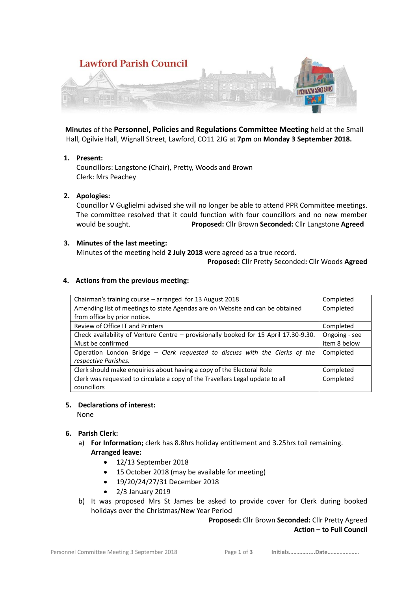

 **Minutes** of the **Personnel, Policies and Regulations Committee Meeting** held at the Small Hall, Ogilvie Hall, Wignall Street, Lawford, CO11 2JG at **7pm** on **Monday 3 September 2018.**

### **1. Present:**

Councillors: Langstone (Chair), Pretty, Woods and Brown Clerk: Mrs Peachey

### **2. Apologies:**

Councillor V Guglielmi advised she will no longer be able to attend PPR Committee meetings. The committee resolved that it could function with four councillors and no new member would be sought. **Proposed:** Cllr Brown **Seconded:** Cllr Langstone **Agreed**

#### **3. Minutes of the last meeting:**

Minutes of the meeting held **2 July 2018** were agreed as a true record.

 **Proposed:** Cllr Pretty Seconded**:** Cllr Woods **Agreed**

#### **4. Actions from the previous meeting:**

| Chairman's training course – arranged for 13 August 2018                             | Completed     |
|--------------------------------------------------------------------------------------|---------------|
| Amending list of meetings to state Agendas are on Website and can be obtained        | Completed     |
| from office by prior notice.                                                         |               |
| Review of Office IT and Printers                                                     | Completed     |
| Check availability of Venture Centre - provisionally booked for 15 April 17.30-9.30. | Ongoing - see |
| Must be confirmed                                                                    | item 8 below  |
| Operation London Bridge - Clerk requested to discuss with the Clerks of the          | Completed     |
| respective Parishes.                                                                 |               |
| Clerk should make enquiries about having a copy of the Electoral Role                | Completed     |
| Clerk was requested to circulate a copy of the Travellers Legal update to all        | Completed     |
| councillors                                                                          |               |

#### **5. Declarations of interest:**

None

### **6. Parish Clerk:**

- a) **For Information;** clerk has 8.8hrs holiday entitlement and 3.25hrs toil remaining. **Arranged leave:** 
	- 12/13 September 2018
	- 15 October 2018 (may be available for meeting)
	- 19/20/24/27/31 December 2018
	- $\bullet$  2/3 January 2019
- b) It was proposed Mrs St James be asked to provide cover for Clerk during booked holidays over the Christmas/New Year Period

# **Proposed:** Cllr Brown **Seconded:** Cllr Pretty Agreed **Action – to Full Council**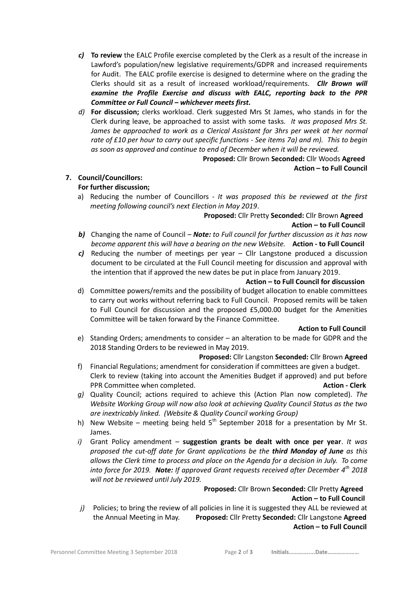- *c)* **To review** the EALC Profile exercise completed by the Clerk as a result of the increase in Lawford's population/new legislative requirements/GDPR and increased requirements for Audit. The EALC profile exercise is designed to determine where on the grading the Clerks should sit as a result of increased workload/requirements. *Cllr Brown will examine the Profile Exercise and discuss with EALC, reporting back to the PPR Committee or Full Council – whichever meets first.*
- *d)* **For discussion;** clerks workload. Clerk suggested Mrs St James, who stands in for the Clerk during leave, be approached to assist with some tasks*. It was proposed Mrs St. James be approached to work as a Clerical Assistant for 3hrs per week at her normal rate of £10 per hour to carry out specific functions - See items 7a) and m). This to begin as soon as approved and continue to end of December when it will be reviewed.*

#### **Proposed:** Cllr Brown **Seconded:** Cllr Woods **Agreed Action – to Full Council**

### **7. Council/Councillors:**

### **For further discussion;**

a) Reducing the number of Councillors - *It was proposed this be reviewed at the first meeting following council's next Election in May 2019*.

## **Proposed:** Cllr Pretty **Seconded:** Cllr Brown **Agreed Action – to Full Council**

- *b)* Changing the name of Council *Note: to Full council for further discussion as it has now become apparent this will have a bearing on the new Website.* **Action - to Full Council**
- *c)* Reducing the number of meetings per year Cllr Langstone produced a discussion document to be circulated at the Full Council meeting for discussion and approval with the intention that if approved the new dates be put in place from January 2019.

#### **Action – to Full Council for discussion**

d) Committee powers/remits and the possibility of budget allocation to enable committees to carry out works without referring back to Full Council. Proposed remits will be taken to Full Council for discussion and the proposed £5,000.00 budget for the Amenities Committee will be taken forward by the Finance Committee.

#### **Action to Full Council**

e) Standing Orders; amendments to consider – an alteration to be made for GDPR and the 2018 Standing Orders to be reviewed in May 2019.

#### **Proposed:** Cllr Langston **Seconded:** Cllr Brown **Agreed**

- f) Financial Regulations; amendment for consideration if committees are given a budget. Clerk to review (taking into account the Amenities Budget if approved) and put before PPR Committee when completed. **Action - Clerk**
- *g)* Quality Council; actions required to achieve this (Action Plan now completed). *The Website Working Group will now also look at achieving Quality Council Status as the two are inextricably linked. (Website & Quality Council working Group)*
- h) New Website meeting being held  $5<sup>th</sup>$  September 2018 for a presentation by Mr St. James.
- *i)* Grant Policy amendment **suggestion grants be dealt with once per year**. *It was proposed the cut-off date for Grant applications be the third Monday of June as this allows the Clerk time to process and place on the Agenda for a decision in July. To come into force for 2019. Note: If approved Grant requests received after December 4th 2018 will not be reviewed until July 2019.*

### **Proposed:** Cllr Brown **Seconded:** Cllr Pretty **Agreed**

#### **Action – to Full Council**

*j)* Policies; to bring the review of all policies in line it is suggested they ALL be reviewed at the Annual Meeting in May. **Proposed:** Cllr Pretty **Seconded:** Cllr Langstone **Agreed Action – to Full Council**